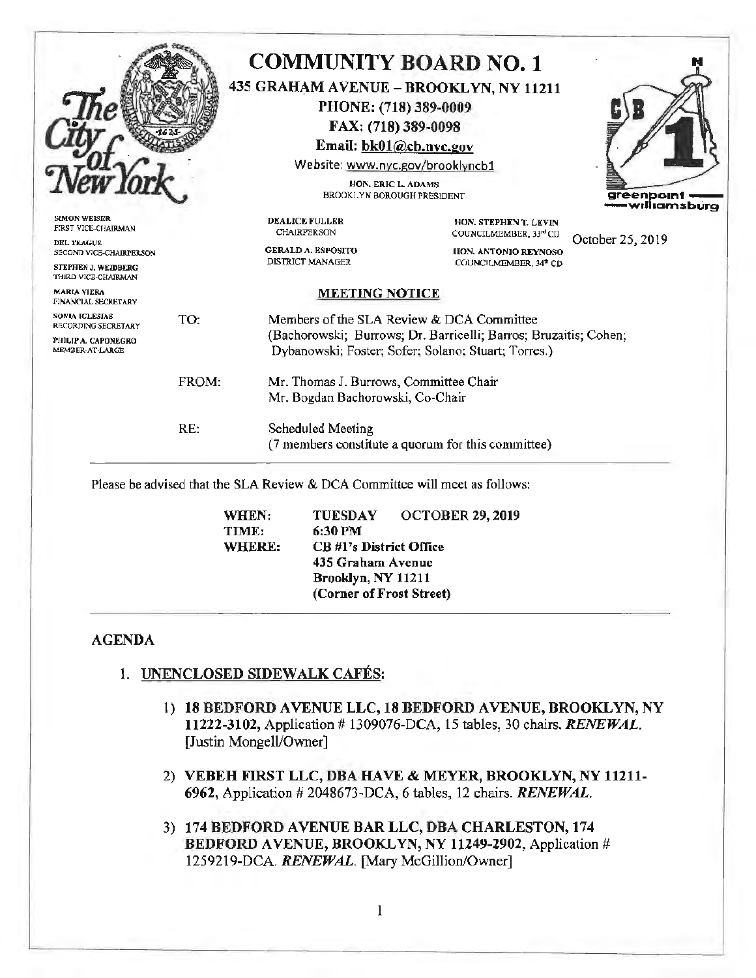|                                                                                     |       | <b>COMMUNITY BOARD NO. 1</b>                                                   | 435 GRAHAM AVENUE - BROOKLYN, NY 11211                                                                                  |                            |
|-------------------------------------------------------------------------------------|-------|--------------------------------------------------------------------------------|-------------------------------------------------------------------------------------------------------------------------|----------------------------|
|                                                                                     |       | PHONE: (718) 389-0009                                                          |                                                                                                                         |                            |
|                                                                                     |       | FAX: (718) 389-0098                                                            |                                                                                                                         |                            |
|                                                                                     |       | Email: bk01@cb.nyc.gov                                                         |                                                                                                                         |                            |
|                                                                                     |       | Website: www.nyc.gov/brooklyncb1                                               |                                                                                                                         |                            |
|                                                                                     |       | HON. ERIC L. ADAMS<br>BROOKLYN BOROUGH PRESIDENT                               |                                                                                                                         | greenpoin<br>•williamsburg |
| <b>SIMON WEISER</b><br>FIRST VICE-CHAIRMAN                                          |       | <b>DEALICE FULLER</b><br><b>CHAIRPERSON</b>                                    | HON. STEPHEN T. LEVIN<br>COUNCILMEMBER, 33 <sup>nd</sup> CD                                                             | October 25, 2019           |
| DEL TEAGUE<br>SECOND VICE-CHAIRPERSON<br>STEPHEN J. WEIDBERG<br>THIRD VICE-CHAIRMAN |       | <b>GERALD A. ESPOSITO</b><br>DISTRICT MANAGER                                  | <b>HON. ANTONIO REYNOSO</b><br>COUNCILMEMBER, 34th CD                                                                   |                            |
| <b>MARIA VIERA</b><br>FINANCIAL SECRETARY                                           |       | <b>MEETING NOTICE</b>                                                          |                                                                                                                         |                            |
| SONIA IGLESIAS<br>RECORDING SECRETARY                                               | TO:   | Members of the SLA Review & DCA Committee                                      |                                                                                                                         |                            |
| PHILIP A. CAPONEGRO<br>MEMBER-AT-LARGE                                              |       |                                                                                | (Bachorowski; Burrows; Dr. Barricelli; Barros; Bruzaitis; Cohen;<br>Dybanowski; Foster; Sofer; Solano; Stuart; Torres.) |                            |
|                                                                                     | FROM: | Mr. Thomas J. Burrows, Committee Chair<br>Mr. Bogdan Bachorowski, Co-Chair     |                                                                                                                         |                            |
|                                                                                     | RE:   | <b>Scheduled Meeting</b><br>(7 members constitute a quorum for this committee) |                                                                                                                         |                            |
|                                                                                     |       | Please be advised that the SLA Review & DCA Committee will meet as follows:    |                                                                                                                         |                            |
|                                                                                     |       | WHEN:<br><b>TUESDAY</b><br>TIME:<br>6:30 PM                                    | <b>OCTOBER 29, 2019</b>                                                                                                 |                            |

**435 Graham Avenue Brooklyn, NY 11211 (Corner of Frost Street)** 

1

1. **UNENCLOSED SIDEWALK CAFES:** 

**AGENDA** 

- 1) **18 BEDFORD AVENUE LLC, 18 BEDFORD AVENUE, BROOKLYN, NY** 11222-3102, *Application # 1309076-DCA*, 15 tables, 30 chairs. *RENEWAL*. [Justin Mongell/Owner]
- 2) **VEBEH FIRST LLC, DBA HA VE** & **MEYER, BROOKLYN, NY 11211- 6962,** Application# 2048673-DCA, 6 tables, 12 chairs. *RENEWAL.*
- 3) 174 **BEDFORD A VENUE BAR LLC, DBA CHARLESTON, 174**  BEDFORD AVENUE, BROOKLYN, NY 11249-2902, Application # 1259219-DCA. *RENEWAL.* [Mary McGillion/Owner]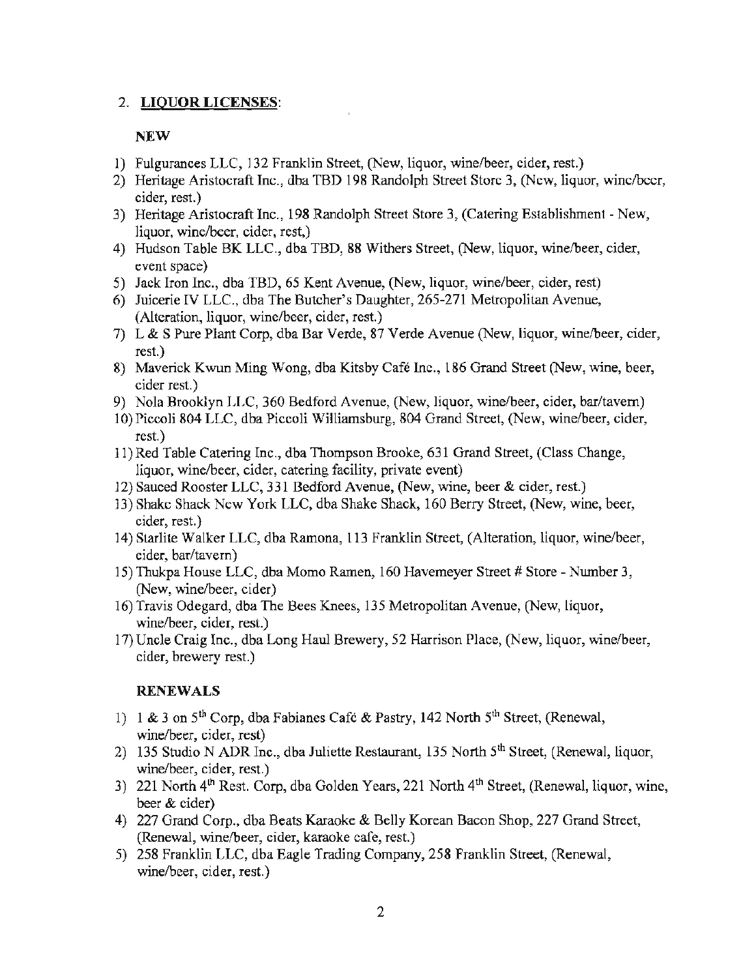## 2. **LIQUOR LICENSES:**

## **NEW**

- 1) Fulgurances LLC, 132 Franklin Street, (New, liquor, wine/beer, cider, rest.)
- 2) Heritage Aristocraft Inc., dba TBD 198 Randolph Street Store 3, (New, liquor, wine/beer, cider, rest.)
- 3) Heritage Aristocraft Inc., 198 Randolph Street Store 3, (Catering Establishment New, liquor, wine/beer, cider, rest,)
- 4) Hudson Table BK LLC., dba TBD, 88 Withers Street, (New, liquor, wine/beer, cider, event space)
- 5) Jack Iron Inc., dba TBD, 65 Kent Avenue, (New, liquor, wine/beer, cider, rest)
- 6) Juicerie IV LLC., dba The Butcher's Daughter, 265-271 Metropolitan Avenue, (Alteration, liquor, wine/beer, cider, rest.)
- 7) L & S Pure Plant Corp, dba Bar Verde, 87 Verde Avenue (New, liquor, wine/beer, cider, rest.)
- 8) Maverick Kwun Ming Wong, dba Kitsby Cafe Inc., 186 Grand Street (New, wine, beer, cider rest.)
- 9) Nola Brooklyn LLC, 360 Bedford Avenue, (New, liquor, wine/beer, cider, bar/tavern)
- 10) Piccoli 804 LLC, dba Piccoli Williamsburg, 804 Grand Street, (New, wine/beer, cider, rest.)
- 11) Red Table Catering Inc., dba Thompson Brooke, 631 Grand Street, (Class Change, liquor, wine/beer, cider, catering facility, private event)
- 12) Sauced Rooster LLC, 331 Bedford Avenue, (New, wine, beer & cider, rest.)
- 13) Shake Shack New York LLC, dba Shake Shack, 160 Berry Street, (New, wine, beer, cider, rest.)
- 14) Starlite Walker LLC, dba Ramona, 113 Franklin Street, (Alteration, liquor, wine/beer, cider, bar/tavern)
- 15) Thukpa House LLC, dba Momo Ramen, 160 Havemeyer Street # Store Number 3, (New, wine/beer, cider)
- 16) Travis Odegard, dba The Bees Knees, 135 Metropolitan Avenue, (New, liquor, wine/beer, cider, rest.)
- 17) Uncle Craig Inc., dba Long Haul Brewery, 52 Harrison Place, (New, liquor, wine/beer, cider, brewery rest.)

## **RENEWALS**

- 1) 1 & 3 on  $5<sup>th</sup>$  Corp, dba Fabianes Café & Pastry, 142 North  $5<sup>th</sup>$  Street, (Renewal, wine/beer, cider, rest)
- 2) 135 Studio N ADR Inc., dba Juliette Restaurant, 135 North 5<sup>th</sup> Street, (Renewal, liquor, wine/beer, cider, rest.)
- 3) 221 North  $4<sup>th</sup>$  Rest. Corp, dba Golden Years, 221 North  $4<sup>th</sup>$  Street, (Renewal, liquor, wine, beer & cider)
- 4) 227 Grand Corp., dba Beats Karaoke & Belly Korean Bacon Shop, 227 Grand Street, (Renewal, wine/beer, cider, karaoke cafe, rest.)
- 5) 258 Franklin LLC, dba Eagle Trading Company, 258 Franklin Street, (Renewal, wine/beer, cider, rest.)